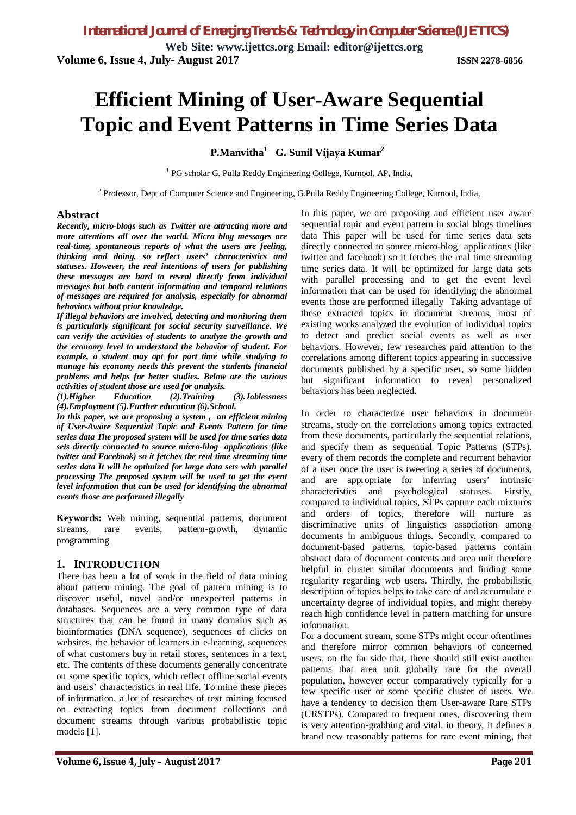**Web Site: www.ijettcs.org Email: editor@ijettcs.org Volume 6, Issue 4, July- August 2017 ISSN 2278-6856**

# **Efficient Mining of User-Aware Sequential Topic and Event Patterns in Time Series Data**

### **P.Manvitha<sup>1</sup> G. Sunil Vijaya Kumar<sup>2</sup>**

<sup>1</sup> PG scholar G. Pulla Reddy Engineering College, Kurnool, AP, India,

<sup>2</sup> Professor, Dept of Computer Science and Engineering, G.Pulla Reddy Engineering College, Kurnool, India,

#### **Abstract**

*Recently, micro-blogs such as Twitter are attracting more and more attentions all over the world. Micro blog messages are real-time, spontaneous reports of what the users are feeling, thinking and doing, so reflect users' characteristics and statuses. However, the real intentions of users for publishing these messages are hard to reveal directly from individual messages but both content information and temporal relations of messages are required for analysis, especially for abnormal behaviors without prior knowledge.* 

*If illegal behaviors are involved, detecting and monitoring them is particularly significant for social security surveillance. We can verify the activities of students to analyze the growth and the economy level to understand the behavior of student. For example, a student may opt for part time while studying to manage his economy needs this prevent the students financial problems and helps for better studies. Below are the various activities of student those are used for analysis.* 

*(1).Higher Education (2).Training (3).Joblessness (4).Employment (5).Further education (6).School.*

*In this paper, we are proposing a system , an efficient mining of User-Aware Sequential Topic and Events Pattern for time series data The proposed system will be used for time series data sets directly connected to source micro-blog applications (like twitter and Facebook) so it fetches the real time streaming time series data It will be optimized for large data sets with parallel processing The proposed system will be used to get the event level information that can be used for identifying the abnormal events those are performed illegally*

**Keywords:** Web mining, sequential patterns, document streams, rare events, pattern-growth, dynamic programming

#### **1. INTRODUCTION**

There has been a lot of work in the field of data mining about pattern mining. The goal of pattern mining is to discover useful, novel and/or unexpected patterns in databases. Sequences are a very common type of data structures that can be found in many domains such as bioinformatics (DNA sequence), sequences of clicks on websites, the behavior of learners in e-learning, sequences of what customers buy in retail stores, sentences in a text, etc. The contents of these documents generally concentrate on some specific topics, which reflect offline social events and users' characteristics in real life. To mine these pieces of information, a lot of researches of text mining focused on extracting topics from document collections and document streams through various probabilistic topic models [1].

In this paper, we are proposing and efficient user aware sequential topic and event pattern in social blogs timelines data This paper will be used for time series data sets directly connected to source micro-blog applications (like twitter and facebook) so it fetches the real time streaming time series data. It will be optimized for large data sets with parallel processing and to get the event level information that can be used for identifying the abnormal events those are performed illegally Taking advantage of these extracted topics in document streams, most of existing works analyzed the evolution of individual topics to detect and predict social events as well as user behaviors. However, few researches paid attention to the correlations among different topics appearing in successive documents published by a specific user, so some hidden but significant information to reveal personalized behaviors has been neglected.

In order to characterize user behaviors in document streams, study on the correlations among topics extracted from these documents, particularly the sequential relations, and specify them as sequential Topic Patterns (STPs). every of them records the complete and recurrent behavior of a user once the user is tweeting a series of documents, and are appropriate for inferring users' intrinsic characteristics and psychological statuses. Firstly, compared to individual topics, STPs capture each mixtures and orders of topics, therefore will nurture as discriminative units of linguistics association among documents in ambiguous things. Secondly, compared to document-based patterns, topic-based patterns contain abstract data of document contents and area unit therefore helpful in cluster similar documents and finding some regularity regarding web users. Thirdly, the probabilistic description of topics helps to take care of and accumulate e uncertainty degree of individual topics, and might thereby reach high confidence level in pattern matching for unsure information.

For a document stream, some STPs might occur oftentimes and therefore mirror common behaviors of concerned users. on the far side that, there should still exist another patterns that area unit globally rare for the overall population, however occur comparatively typically for a few specific user or some specific cluster of users. We have a tendency to decision them User-aware Rare STPs (URSTPs). Compared to frequent ones, discovering them is very attention-grabbing and vital. in theory, it defines a brand new reasonably patterns for rare event mining, that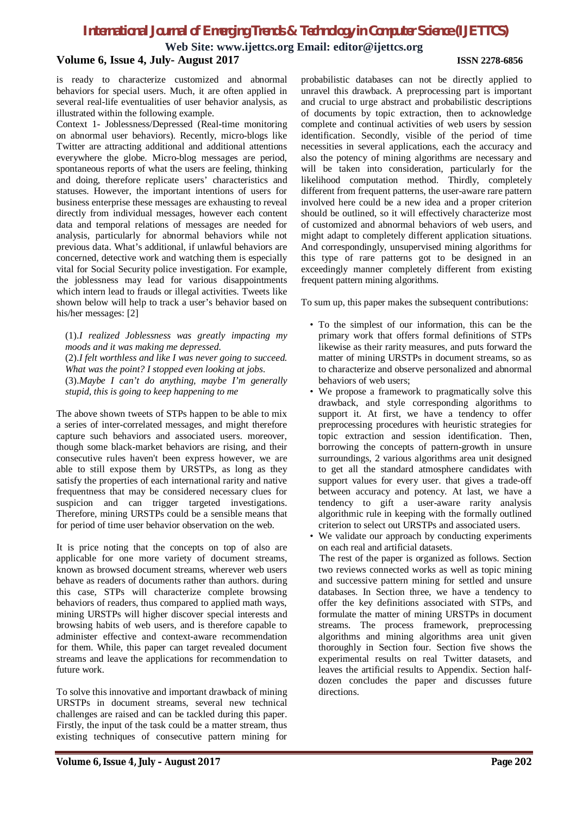**Web Site: www.ijettcs.org Email: editor@ijettcs.org**

#### **Volume 6, Issue 4, July- August 2017 ISSN 2278-6856**

#### is ready to characterize customized and abnormal behaviors for special users. Much, it are often applied in several real-life eventualities of user behavior analysis, as illustrated within the following example.

Context 1- Joblessness/Depressed (Real-time monitoring on abnormal user behaviors). Recently, micro-blogs like Twitter are attracting additional and additional attentions everywhere the globe. Micro-blog messages are period, spontaneous reports of what the users are feeling, thinking and doing, therefore replicate users' characteristics and statuses. However, the important intentions of users for business enterprise these messages are exhausting to reveal directly from individual messages, however each content data and temporal relations of messages are needed for analysis, particularly for abnormal behaviors while not previous data. What's additional, if unlawful behaviors are concerned, detective work and watching them is especially vital for Social Security police investigation. For example, the joblessness may lead for various disappointments which intern lead to frauds or illegal activities. Tweets like shown below will help to track a user's behavior based on his/her messages: [2]

(1).*I realized Joblessness was greatly impacting my moods and it was making me depressed*. (2).*I felt worthless and like I was never going to succeed. What was the point? I stopped even looking at jobs*. (3).*Maybe I can't do anything, maybe I'm generally* 

*stupid, this is going to keep happening to me*

The above shown tweets of STPs happen to be able to mix a series of inter-correlated messages, and might therefore capture such behaviors and associated users. moreover, though some black-market behaviors are rising, and their consecutive rules haven't been express however, we are able to still expose them by URSTPs, as long as they satisfy the properties of each international rarity and native frequentness that may be considered necessary clues for suspicion and can trigger targeted investigations. Therefore, mining URSTPs could be a sensible means that for period of time user behavior observation on the web.

It is price noting that the concepts on top of also are applicable for one more variety of document streams, known as browsed document streams, wherever web users behave as readers of documents rather than authors. during this case, STPs will characterize complete browsing behaviors of readers, thus compared to applied math ways, mining URSTPs will higher discover special interests and browsing habits of web users, and is therefore capable to administer effective and context-aware recommendation for them. While, this paper can target revealed document streams and leave the applications for recommendation to future work.

To solve this innovative and important drawback of mining URSTPs in document streams, several new technical challenges are raised and can be tackled during this paper. Firstly, the input of the task could be a matter stream, thus existing techniques of consecutive pattern mining for

probabilistic databases can not be directly applied to unravel this drawback. A preprocessing part is important and crucial to urge abstract and probabilistic descriptions of documents by topic extraction, then to acknowledge complete and continual activities of web users by session identification. Secondly, visible of the period of time necessities in several applications, each the accuracy and also the potency of mining algorithms are necessary and will be taken into consideration, particularly for the likelihood computation method. Thirdly, completely different from frequent patterns, the user-aware rare pattern involved here could be a new idea and a proper criterion should be outlined, so it will effectively characterize most of customized and abnormal behaviors of web users, and might adapt to completely different application situations. And correspondingly, unsupervised mining algorithms for this type of rare patterns got to be designed in an exceedingly manner completely different from existing frequent pattern mining algorithms.

To sum up, this paper makes the subsequent contributions:

- To the simplest of our information, this can be the primary work that offers formal definitions of STPs likewise as their rarity measures, and puts forward the matter of mining URSTPs in document streams, so as to characterize and observe personalized and abnormal behaviors of web users;
- We propose a framework to pragmatically solve this drawback, and style corresponding algorithms to support it. At first, we have a tendency to offer preprocessing procedures with heuristic strategies for topic extraction and session identification. Then, borrowing the concepts of pattern-growth in unsure surroundings, 2 various algorithms area unit designed to get all the standard atmosphere candidates with support values for every user. that gives a trade-off between accuracy and potency. At last, we have a tendency to gift a user-aware rarity analysis algorithmic rule in keeping with the formally outlined criterion to select out URSTPs and associated users.
- We validate our approach by conducting experiments on each real and artificial datasets.

 The rest of the paper is organized as follows. Section two reviews connected works as well as topic mining and successive pattern mining for settled and unsure databases. In Section three, we have a tendency to offer the key definitions associated with STPs, and formulate the matter of mining URSTPs in document streams. The process framework, preprocessing algorithms and mining algorithms area unit given thoroughly in Section four. Section five shows the experimental results on real Twitter datasets, and leaves the artificial results to Appendix. Section halfdozen concludes the paper and discusses future directions.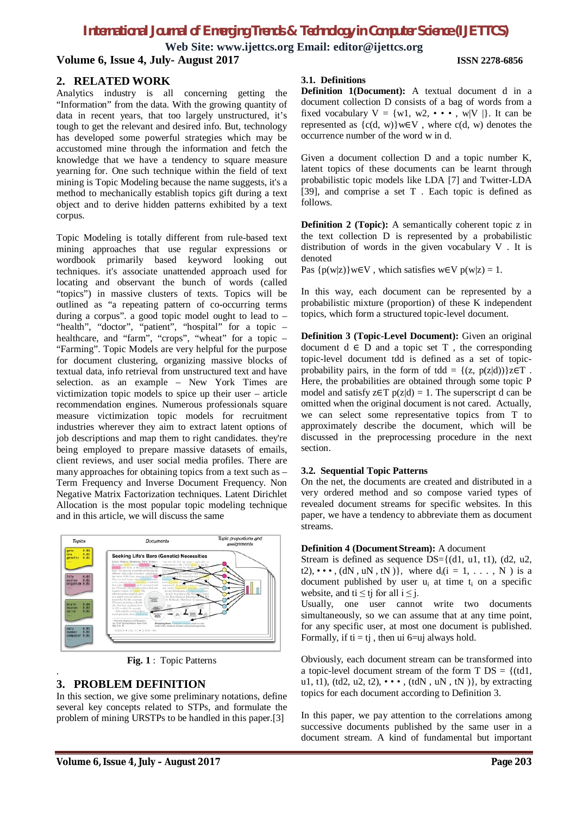**Web Site: www.ijettcs.org Email: editor@ijettcs.org Volume 6, Issue 4, July- August 2017 ISSN 2278-6856**

#### **2. RELATED WORK**

Analytics industry is all concerning getting the "Information" from the data. With the growing quantity of data in recent years, that too largely unstructured, it's tough to get the relevant and desired info. But, technology has developed some powerful strategies which may be accustomed mine through the information and fetch the knowledge that we have a tendency to square measure yearning for. One such technique within the field of text mining is Topic Modeling because the name suggests, it's a method to mechanically establish topics gift during a text object and to derive hidden patterns exhibited by a text corpus.

Topic Modeling is totally different from rule-based text mining approaches that use regular expressions or wordbook primarily based keyword looking out techniques. it's associate unattended approach used for locating and observant the bunch of words (called "topics") in massive clusters of texts. Topics will be outlined as "a repeating pattern of co-occurring terms during a corpus". a good topic model ought to lead to – "health", "doctor", "patient", "hospital" for a topic – healthcare, and "farm", "crops", "wheat" for a topic – "Farming". Topic Models are very helpful for the purpose for document clustering, organizing massive blocks of textual data, info retrieval from unstructured text and have selection. as an example – New York Times are victimization topic models to spice up their user – article recommendation engines. Numerous professionals square measure victimization topic models for recruitment industries wherever they aim to extract latent options of job descriptions and map them to right candidates. they're being employed to prepare massive datasets of emails, client reviews, and user social media profiles. There are many approaches for obtaining topics from a text such as – Term Frequency and Inverse Document Frequency. Non Negative Matrix Factorization techniques. Latent Dirichlet Allocation is the most popular topic modeling technique and in this article, we will discuss the same



**Fig. 1** : Topic Patterns

### **3. PROBLEM DEFINITION**

.

In this section, we give some preliminary notations, define several key concepts related to STPs, and formulate the problem of mining URSTPs to be handled in this paper.[3]

#### **3.1. Definitions**

**Definition 1(Document):** A textual document d in a document collection D consists of a bag of words from a fixed vocabulary  $V = \{w1, w2, \cdots, w|V|\}$ . It can be represented as  $\{c(d, w)\}\text{w}\in V$ , where  $c(d, w)$  denotes the occurrence number of the word w in d.

Given a document collection D and a topic number K, latent topics of these documents can be learnt through probabilistic topic models like LDA [7] and Twitter-LDA [39], and comprise a set T . Each topic is defined as follows.

**Definition 2 (Topic):** A semantically coherent topic z in the text collection D is represented by a probabilistic distribution of words in the given vocabulary V . It is denoted

Pas  $\{p(w|z)\}w\in V$ , which satisfies  $w \in V$   $p(w|z) = 1$ .

In this way, each document can be represented by a probabilistic mixture (proportion) of these K independent topics, which form a structured topic-level document.

**Definition 3 (Topic-Level Document):** Given an original document  $d \in D$  and a topic set T, the corresponding topic-level document tdd is defined as a set of topicprobability pairs, in the form of tdd =  $\{(z, p(z|d))\}z \in T$ . Here, the probabilities are obtained through some topic P model and satisfy z∈T  $p(z|d) = 1$ . The superscript d can be omitted when the original document is not cared. Actually, we can select some representative topics from T to approximately describe the document, which will be discussed in the preprocessing procedure in the next section.

#### **3.2. Sequential Topic Patterns**

On the net, the documents are created and distributed in a very ordered method and so compose varied types of revealed document streams for specific websites. In this paper, we have a tendency to abbreviate them as document streams.

#### **Definition 4 (Document Stream):** A document

Stream is defined as sequence  $DS = \{(d1, u1, t1), (d2, u2,$ t2),  $\cdots$ , (dN, uN, tN)}, where  $d_i(i = 1, \ldots, N)$  is a document published by user  $u_i$  at time  $t_i$  on a specific website, and ti  $\leq$  tj for all  $i \leq j$ .

Usually, one user cannot write two documents simultaneously, so we can assume that at any time point, for any specific user, at most one document is published. Formally, if  $ti = tj$ , then ui 6=uj always hold.

Obviously, each document stream can be transformed into a topic-level document stream of the form  $T DS = \{(td1,$ u1, t1), (td2, u2, t2),  $\cdots$ , (tdN, uN, tN)}, by extracting topics for each document according to Definition 3.

In this paper, we pay attention to the correlations among successive documents published by the same user in a document stream. A kind of fundamental but important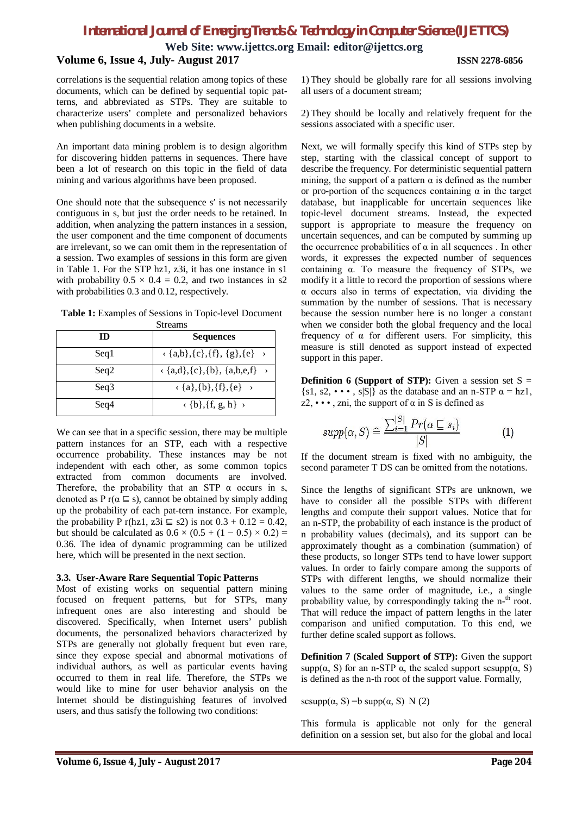**Web Site: www.ijettcs.org Email: editor@ijettcs.org**

#### **Volume 6, Issue 4, July- August 2017 ISSN 2278-6856**

correlations is the sequential relation among topics of these documents, which can be defined by sequential topic patterns, and abbreviated as STPs. They are suitable to characterize users' complete and personalized behaviors when publishing documents in a website.

An important data mining problem is to design algorithm for discovering hidden patterns in sequences. There have been a lot of research on this topic in the field of data mining and various algorithms have been proposed.

One should note that the subsequence s′ is not necessarily contiguous in s, but just the order needs to be retained. In addition, when analyzing the pattern instances in a session, the user component and the time component of documents are irrelevant, so we can omit them in the representation of a session. Two examples of sessions in this form are given in Table 1. For the STP hz1, z3i, it has one instance in s1 with probability  $0.5 \times 0.4 = 0.2$ , and two instances in s2 with probabilities 0.3 and 0.12, respectively.

**Table 1:** Examples of Sessions in Topic-level Document Streams

| ID   | <b>Sequences</b>                                                         |
|------|--------------------------------------------------------------------------|
| Seq1 | $\langle \{a,b\}, \{c\}, \{f\}, \{g\}, \{e\} \rangle$                    |
| Seq2 | $\langle \{a,d\}, \{c\}, \{b\}, \{a,b,e,f\} \rangle$                     |
| Seq3 | $\langle \{a\}, \{b\}, \{f\}, \{e\} \rangle$                             |
| Seq4 | $\langle \{\mathbf{b}\}, \{\mathbf{f}, \mathbf{g}, \mathbf{h}\} \rangle$ |

We can see that in a specific session, there may be multiple pattern instances for an STP, each with a respective occurrence probability. These instances may be not independent with each other, as some common topics extracted from common documents are involved. Therefore, the probability that an STP  $\alpha$  occurs in s, denoted as P r( $\alpha \subseteq s$ ), cannot be obtained by simply adding up the probability of each pat-tern instance. For example, the probability P r(hz1, z3i  $\equiv$  s2) is not  $0.3 + 0.12 = 0.42$ , but should be calculated as  $0.6 \times (0.5 + (1 - 0.5) \times 0.2)$ 0.36. The idea of dynamic programming can be utilized here, which will be presented in the next section.

#### **3.3. User-Aware Rare Sequential Topic Patterns**

Most of existing works on sequential pattern mining focused on frequent patterns, but for STPs, many infrequent ones are also interesting and should be discovered. Specifically, when Internet users' publish documents, the personalized behaviors characterized by STPs are generally not globally frequent but even rare, since they expose special and abnormal motivations of individual authors, as well as particular events having occurred to them in real life. Therefore, the STPs we would like to mine for user behavior analysis on the Internet should be distinguishing features of involved users, and thus satisfy the following two conditions:

1) They should be globally rare for all sessions involving all users of a document stream;

2) They should be locally and relatively frequent for the sessions associated with a specific user.

Next, we will formally specify this kind of STPs step by step, starting with the classical concept of support to describe the frequency. For deterministic sequential pattern mining, the support of a pattern  $\alpha$  is defined as the number or pro-portion of the sequences containing α in the target database, but inapplicable for uncertain sequences like topic-level document streams. Instead, the expected support is appropriate to measure the frequency on uncertain sequences, and can be computed by summing up the occurrence probabilities of  $\alpha$  in all sequences. In other words, it expresses the expected number of sequences containing α. To measure the frequency of STPs, we modify it a little to record the proportion of sessions where  $\alpha$  occurs also in terms of expectation, via dividing the summation by the number of sessions. That is necessary because the session number here is no longer a constant when we consider both the global frequency and the local frequency of  $\alpha$  for different users. For simplicity, this measure is still denoted as support instead of expected support in this paper.

**Definition 6 (Support of STP):** Given a session set  $S =$ {s1, s2, •••, s|S|} as the database and an n-STP  $\alpha$  = hz1,  $z_2$ ,  $\cdots$ , zni, the support of  $\alpha$  in S is defined as

$$
supp(\alpha, S) \cong \frac{\sum_{i=1}^{|S|} Pr(\alpha \sqsubseteq s_i)}{|S|} \tag{1}
$$

If the document stream is fixed with no ambiguity, the second parameter T DS can be omitted from the notations.

Since the lengths of significant STPs are unknown, we have to consider all the possible STPs with different lengths and compute their support values. Notice that for an n-STP, the probability of each instance is the product of n probability values (decimals), and its support can be approximately thought as a combination (summation) of these products, so longer STPs tend to have lower support values. In order to fairly compare among the supports of STPs with different lengths, we should normalize their values to the same order of magnitude, i.e., a single probability value, by correspondingly taking the n-<sup>th</sup> root. That will reduce the impact of pattern lengths in the later comparison and unified computation. To this end, we further define scaled support as follows.

**Definition 7 (Scaled Support of STP):** Given the support supp( $\alpha$ , S) for an n-STP  $\alpha$ , the scaled support scsupp( $\alpha$ , S) is defined as the n-th root of the support value. Formally,

scsupp $(\alpha, S)$  =b supp $(\alpha, S)$  N (2)

This formula is applicable not only for the general definition on a session set, but also for the global and local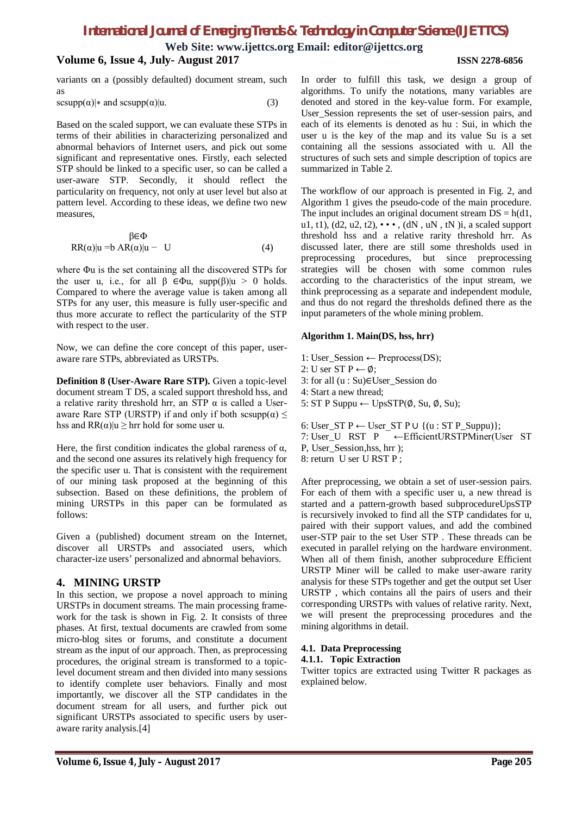**Web Site: www.ijettcs.org Email: editor@ijettcs.org**

#### **Volume 6, Issue 4, July- August 2017 ISSN 2278-6856**

variants on a (possibly defaulted) document stream, such as

$$
scsupp(\alpha)|* \text{ and } scsupp(\alpha)|u. \tag{3}
$$

Based on the scaled support, we can evaluate these STPs in terms of their abilities in characterizing personalized and abnormal behaviors of Internet users, and pick out some significant and representative ones. Firstly, each selected STP should be linked to a specific user, so can be called a user-aware STP. Secondly, it should reflect the particularity on frequency, not only at user level but also at pattern level. According to these ideas, we define two new measures,

$$
\beta \in \Phi
$$
  
RR( $\alpha$ )|u = b AR( $\alpha$ )|u - U (4)

where Φu is the set containing all the discovered STPs for the user u, i.e., for all  $\beta \in \Phi$ u, supp $(\beta)|u \rangle > 0$  holds. Compared to where the average value is taken among all STPs for any user, this measure is fully user-specific and thus more accurate to reflect the particularity of the STP with respect to the user.

Now, we can define the core concept of this paper, useraware rare STPs, abbreviated as URSTPs.

**Definition 8 (User-Aware Rare STP).** Given a topic-level document stream T DS, a scaled support threshold hss, and a relative rarity threshold hrr, an STP  $\alpha$  is called a Useraware Rare STP (URSTP) if and only if both scsupp $(\alpha) \leq$ hss and  $RR(\alpha)|u \geq hrr$  hold for some user u.

Here, the first condition indicates the global rareness of  $\alpha$ , and the second one assures its relatively high frequency for the specific user u. That is consistent with the requirement of our mining task proposed at the beginning of this subsection. Based on these definitions, the problem of mining URSTPs in this paper can be formulated as follows:

Given a (published) document stream on the Internet, discover all URSTPs and associated users, which character-ize users' personalized and abnormal behaviors.

### **4. MINING URSTP**

In this section, we propose a novel approach to mining URSTPs in document streams. The main processing framework for the task is shown in Fig. 2. It consists of three phases. At first, textual documents are crawled from some micro-blog sites or forums, and constitute a document stream as the input of our approach. Then, as preprocessing procedures, the original stream is transformed to a topiclevel document stream and then divided into many sessions to identify complete user behaviors. Finally and most importantly, we discover all the STP candidates in the document stream for all users, and further pick out significant URSTPs associated to specific users by useraware rarity analysis.[4]

In order to fulfill this task, we design a group of algorithms. To unify the notations, many variables are denoted and stored in the key-value form. For example, User Session represents the set of user-session pairs, and each of its elements is denoted as hu : Sui, in which the user u is the key of the map and its value Su is a set containing all the sessions associated with u. All the structures of such sets and simple description of topics are summarized in Table 2.

The workflow of our approach is presented in Fig. 2, and Algorithm 1 gives the pseudo-code of the main procedure. The input includes an original document stream  $DS = h(d1)$ , u1, t1), (d2, u2, t2),  $\cdots$ , (dN, uN, tN) i, a scaled support threshold hss and a relative rarity threshold hrr. As discussed later, there are still some thresholds used in preprocessing procedures, but since preprocessing strategies will be chosen with some common rules according to the characteristics of the input stream, we think preprocessing as a separate and independent module, and thus do not regard the thresholds defined there as the input parameters of the whole mining problem.

#### **Algorithm 1. Main(DS, hss, hrr)**

- 1: User Session ← Preprocess(DS);
- 2: U ser ST P ← Ø:

3: for all (u : Su)∈User\_Session do

- 4: Start a new thread;
- 5: ST P Suppu ← UpsSTP $(\emptyset, Su, \emptyset, Su)$ ;

6: User\_ST P ← User\_ST P ∪  ${(u : ST P_Suppu)}$ ; 7: User\_U RST P ←EfficientURSTPMiner(User ST P, User\_Session,hss, hrr ); 8: return U ser U RST P ;

After preprocessing, we obtain a set of user-session pairs. For each of them with a specific user u, a new thread is started and a pattern-growth based subprocedureUpsSTP is recursively invoked to find all the STP candidates for u, paired with their support values, and add the combined user-STP pair to the set User STP . These threads can be executed in parallel relying on the hardware environment. When all of them finish, another subprocedure Efficient URSTP Miner will be called to make user-aware rarity analysis for these STPs together and get the output set User URSTP , which contains all the pairs of users and their corresponding URSTPs with values of relative rarity. Next, we will present the preprocessing procedures and the mining algorithms in detail.

# **4.1. Data Preprocessing**

#### **4.1.1. Topic Extraction**

Twitter topics are extracted using Twitter R packages as explained below.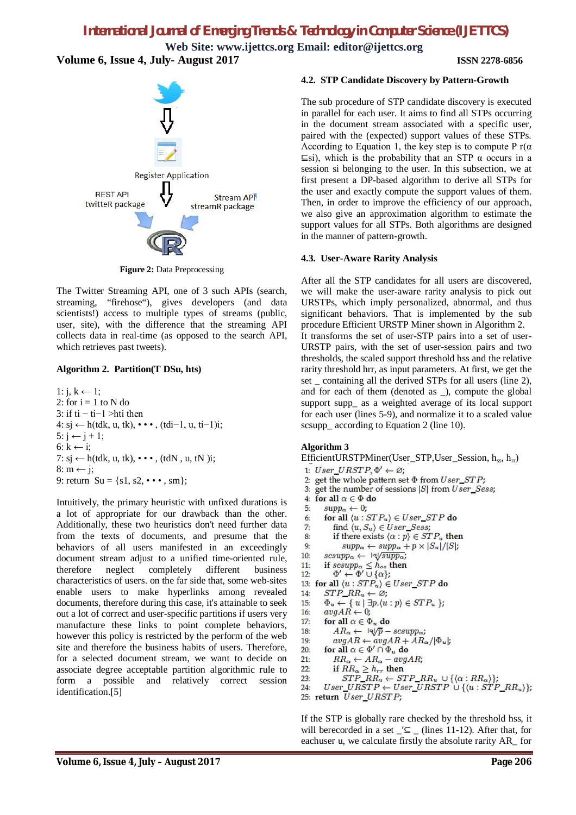**Web Site: www.ijettcs.org Email: editor@ijettcs.org Volume 6, Issue 4, July- August 2017 ISSN 2278-6856**



**Figure 2:** Data Preprocessing

The Twitter Streaming API, one of 3 such APIs (search, streaming, "firehose"), gives developers (and data scientists!) access to multiple types of streams (public, user, site), with the difference that the streaming API collects data in real-time (as opposed to the search API, which retrieves past tweets).

#### **Algorithm 2. Partition(T DSu, hts)**

```
1: j, k \leftarrow 1;
2: for i = 1 to N do
3: if ti − ti-1 >hti then
4: sj ← h(tdk, u, tk), • • • , (tdi−1, u, ti−1)i;
5: j \leftarrow j + 1;6: k \leftarrow i;7: si \leftarrow h(tdk, u, tk), \cdots, (tdN, u, tN)i;
8: m \leftarrow j;
9: return Su = \{s1, s2, \cdots, sm\};
```
Intuitively, the primary heuristic with unfixed durations is a lot of appropriate for our drawback than the other. Additionally, these two heuristics don't need further data from the texts of documents, and presume that the behaviors of all users manifested in an exceedingly document stream adjust to a unified time-oriented rule, therefore neglect completely different business characteristics of users. on the far side that, some web-sites enable users to make hyperlinks among revealed documents, therefore during this case, it's attainable to seek out a lot of correct and user-specific partitions if users very manufacture these links to point complete behaviors, however this policy is restricted by the perform of the web site and therefore the business habits of users. Therefore, for a selected document stream, we want to decide on associate degree acceptable partition algorithmic rule to form a possible and relatively correct session identification.[5]

#### **4.2. STP Candidate Discovery by Pattern-Growth**

The sub procedure of STP candidate discovery is executed in parallel for each user. It aims to find all STPs occurring in the document stream associated with a specific user, paired with the (expected) support values of these STPs. According to Equation 1, the key step is to compute P  $r(\alpha)$  $\equiv$ si), which is the probability that an STP  $\alpha$  occurs in a session si belonging to the user. In this subsection, we at first present a DP-based algorithm to derive all STPs for the user and exactly compute the support values of them. Then, in order to improve the efficiency of our approach, we also give an approximation algorithm to estimate the support values for all STPs. Both algorithms are designed in the manner of pattern-growth.

#### **4.3. User-Aware Rarity Analysis**

After all the STP candidates for all users are discovered, we will make the user-aware rarity analysis to pick out URSTPs, which imply personalized, abnormal, and thus significant behaviors. That is implemented by the sub procedure Efficient URSTP Miner shown in Algorithm 2.

It transforms the set of user-STP pairs into a set of user-URSTP pairs, with the set of user-session pairs and two thresholds, the scaled support threshold hss and the relative rarity threshold hrr, as input parameters. At first, we get the set \_ containing all the derived STPs for all users (line 2), and for each of them (denoted as \_), compute the global support supp\_ as a weighted average of its local support for each user (lines 5-9), and normalize it to a scaled value scsupp\_ according to Equation 2 (line 10).

#### **Algorithm 3**

EfficientURSTPMiner(User\_STP,User\_Session,  $h_{ss}$ ,  $h_{rr}$ )

- 1: User URSTP,  $\Phi' \leftarrow \varnothing$ : 2: get the whole pattern set  $\Phi$  from  $User\_STP$ ;
- $\mathcal{R}$ get the number of sessions |S| from User\_Sess;
- $4:$ for all  $\alpha \in \Phi$  do
- $supp_{\alpha} \leftarrow 0;$  $5<sub>2</sub>$
- for all  $\langle u : STP_u \rangle \in User\_STP$  do 6:
- $7<sub>i</sub>$ find  $\langle u, S_u \rangle \in User\_Sess;$
- if there exists  $\langle \alpha : p \rangle \in STP_u$  then 8:
- $Q<sub>2</sub>$  $supp_{\alpha} \leftarrow supp_{\alpha} + p \times |S_u|/|S|;$
- $scsupp_{\alpha} \leftarrow \exists \sqrt{supp_{\alpha}};$  $10<sub>i</sub>$
- if  $scsupp_{\alpha} \leq h_{ss}$  then<br>  $\Phi' \leftarrow \Phi' \cup \{\alpha\};$  $11:$
- $12.$
- 13: for all  $\langle u : STP_u \rangle \in User\_STP$  do
- $14:$  $STP\_RR_u \leftarrow \varnothing;$
- $\Phi_u \leftarrow \{ u \mid \exists p. \langle u : p \rangle \in STP_u \};$ <br>  $avgAR \leftarrow 0;$ 15: 16:
- $17:$
- for all  $\alpha \in \Phi_u$  do
- $AR_{\alpha} \leftarrow \exists \sqrt[p]{p} sesupp_{\alpha};$ 18:  $avgAR \leftarrow avgAR + AR_{\alpha}/|\Phi_u|$ ;  $19<sub>1</sub>$
- for all  $\alpha \in \Phi' \cap \Phi_u$  do  $20<sub>1</sub>$
- $21:$  $RR_{\alpha} \leftarrow AR_{\alpha} - avgAR_{i}$
- $22:$
- if  $RR_{\alpha} \geq h_{rr}$  then<br>  $STP\_RR_u \leftarrow STP\_RR_u \cup \{(\alpha : RR_{\alpha})\};$ 23:
- User\_URSTP  $\leftarrow$  User\_URSTP  $\cup$  { $\{u : STP \, RR_u\};$  $24:$
- 25: return User\_URSTP;

If the STP is globally rare checked by the threshold hss, it will berecorded in a set  $\_\_$  (lines 11-12). After that, for eachuser u, we calculate firstly the absolute rarity AR\_ for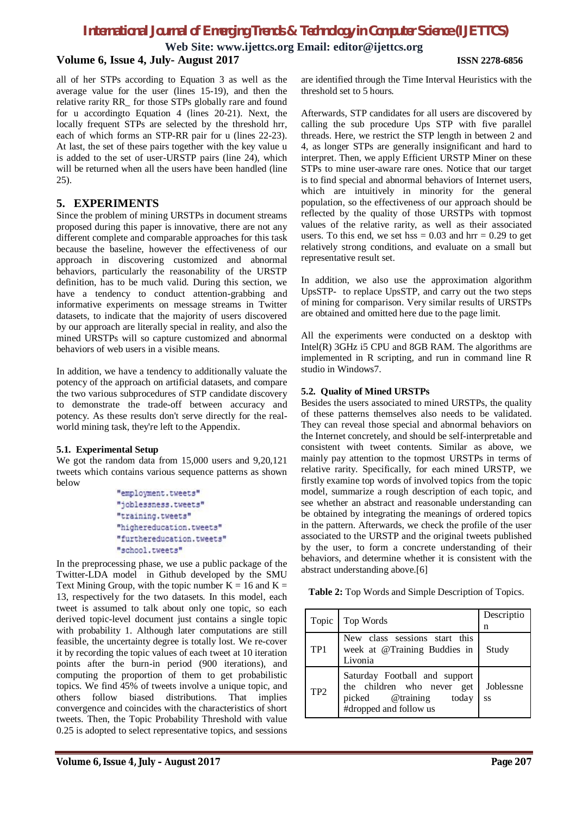**Web Site: www.ijettcs.org Email: editor@ijettcs.org**

#### **Volume 6, Issue 4, July- August 2017 ISSN 2278-6856**

all of her STPs according to Equation 3 as well as the average value for the user (lines 15-19), and then the relative rarity RR\_ for those STPs globally rare and found for u accordingto Equation 4 (lines 20-21). Next, the locally frequent STPs are selected by the threshold hrr, each of which forms an STP-RR pair for u (lines 22-23). At last, the set of these pairs together with the key value u is added to the set of user-URSTP pairs (line 24), which will be returned when all the users have been handled (line 25).

#### **5. EXPERIMENTS**

Since the problem of mining URSTPs in document streams proposed during this paper is innovative, there are not any different complete and comparable approaches for this task because the baseline, however the effectiveness of our approach in discovering customized and abnormal behaviors, particularly the reasonability of the URSTP definition, has to be much valid. During this section, we have a tendency to conduct attention-grabbing and informative experiments on message streams in Twitter datasets, to indicate that the majority of users discovered by our approach are literally special in reality, and also the mined URSTPs will so capture customized and abnormal behaviors of web users in a visible means.

In addition, we have a tendency to additionally valuate the potency of the approach on artificial datasets, and compare the two various subprocedures of STP candidate discovery to demonstrate the trade-off between accuracy and potency. As these results don't serve directly for the realworld mining task, they're left to the Appendix.

#### **5.1. Experimental Setup**

We got the random data from 15,000 users and 9,20,121 tweets which contains various sequence patterns as shown below

> "employment.tweets" "joblessness.tweets" "training.tweets" "highereducation.tweets" "furthereducation.tweets" "school.tweets"

In the preprocessing phase, we use a public package of the Twitter-LDA model in Github developed by the SMU Text Mining Group, with the topic number  $K = 16$  and  $K =$ 13, respectively for the two datasets. In this model, each tweet is assumed to talk about only one topic, so each derived topic-level document just contains a single topic with probability 1. Although later computations are still feasible, the uncertainty degree is totally lost. We re-cover it by recording the topic values of each tweet at 10 iteration points after the burn-in period (900 iterations), and computing the proportion of them to get probabilistic topics. We find 45% of tweets involve a unique topic, and others follow biased distributions. That implies convergence and coincides with the characteristics of short tweets. Then, the Topic Probability Threshold with value 0.25 is adopted to select representative topics, and sessions

are identified through the Time Interval Heuristics with the threshold set to 5 hours.

Afterwards, STP candidates for all users are discovered by calling the sub procedure Ups STP with five parallel threads. Here, we restrict the STP length in between 2 and 4, as longer STPs are generally insignificant and hard to interpret. Then, we apply Efficient URSTP Miner on these STPs to mine user-aware rare ones. Notice that our target is to find special and abnormal behaviors of Internet users, which are intuitively in minority for the general population, so the effectiveness of our approach should be reflected by the quality of those URSTPs with topmost values of the relative rarity, as well as their associated users. To this end, we set hss  $= 0.03$  and hrr  $= 0.29$  to get relatively strong conditions, and evaluate on a small but representative result set.

In addition, we also use the approximation algorithm UpsSTP- to replace UpsSTP, and carry out the two steps of mining for comparison. Very similar results of URSTPs are obtained and omitted here due to the page limit.

All the experiments were conducted on a desktop with Intel(R) 3GHz i5 CPU and 8GB RAM. The algorithms are implemented in R scripting, and run in command line R studio in Windows7.

#### **5.2. Quality of Mined URSTPs**

Besides the users associated to mined URSTPs, the quality of these patterns themselves also needs to be validated. They can reveal those special and abnormal behaviors on the Internet concretely, and should be self-interpretable and consistent with tweet contents. Similar as above, we mainly pay attention to the topmost URSTPs in terms of relative rarity. Specifically, for each mined URSTP, we firstly examine top words of involved topics from the topic model, summarize a rough description of each topic, and see whether an abstract and reasonable understanding can be obtained by integrating the meanings of ordered topics in the pattern. Afterwards, we check the profile of the user associated to the URSTP and the original tweets published by the user, to form a concrete understanding of their behaviors, and determine whether it is consistent with the abstract understanding above.[6]

**Table 2:** Top Words and Simple Description of Topics.

| Topic           | Top Words                                                                                                          | Descriptio<br>n |
|-----------------|--------------------------------------------------------------------------------------------------------------------|-----------------|
| TP <sub>1</sub> | New class sessions start this<br>week at @Training Buddies in<br>Livonia                                           | Study           |
| TP <sub>2</sub> | Saturday Football and support<br>the children who never get<br>picked @training<br>today<br>#dropped and follow us | Joblessne<br>SS |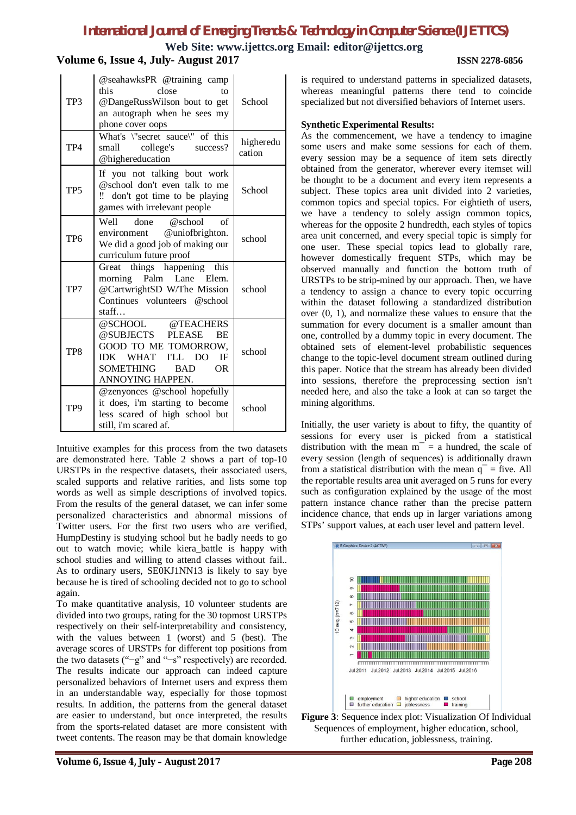**Web Site: www.ijettcs.org Email: editor@ijettcs.org**

### **Volume 6, Issue 4, July- August 2017 ISSN 2278-6856**

| TP3             | @seahawksPR @training camp<br>this<br>close<br>tΩ<br>@DangeRussWilson bout to get<br>an autograph when he sees my<br>phone cover oops                                         | School              |
|-----------------|-------------------------------------------------------------------------------------------------------------------------------------------------------------------------------|---------------------|
| TP <sub>4</sub> | What's \"secret sauce\" of this<br>small college's success?<br>@highereducation                                                                                               | higheredu<br>cation |
| TP <sub>5</sub> | If you not talking bout work<br>@school don't even talk to me<br>don't got time to be playing<br>!!<br>games with irrelevant people                                           | School              |
| TP <sub>6</sub> | Well<br>done<br>@school<br>of<br>environment @uniofbrighton.<br>We did a good job of making our<br>curriculum future proof                                                    | school              |
| TP7             | Great things happening this<br>morning Palm Lane Elem.<br>@CartwrightSD W/The Mission<br>Continues volunteers @school<br>statf                                                | school              |
| TP8             | @SCHOOL @TEACHERS<br>@SUBJECTS PLEASE<br><b>BE</b><br>GOOD TO ME TOMORROW,<br>WHAT I'LL<br><b>IDK</b><br>DO<br>IF<br><b>OR</b><br>SOMETHING<br><b>BAD</b><br>ANNOYING HAPPEN. | school              |
| TP9             | @zenyonces @school hopefully<br>it does, i'm starting to become<br>less scared of high school but<br>still, i'm scared af.                                                    | school              |

Intuitive examples for this process from the two datasets are demonstrated here. Table 2 shows a part of top-10 URSTPs in the respective datasets, their associated users, scaled supports and relative rarities, and lists some top words as well as simple descriptions of involved topics. From the results of the general dataset, we can infer some personalized characteristics and abnormal missions of Twitter users. For the first two users who are verified, HumpDestiny is studying school but he badly needs to go out to watch movie; while kiera\_battle is happy with school studies and willing to attend classes without fail.. As to ordinary users, SE0KJ1NN13 is likely to say bye because he is tired of schooling decided not to go to school again.

To make quantitative analysis, 10 volunteer students are divided into two groups, rating for the 30 topmost URSTPs respectively on their self-interpretability and consistency, with the values between 1 (worst) and 5 (best). The average scores of URSTPs for different top positions from the two datasets ("−g" and "−s" respectively) are recorded. The results indicate our approach can indeed capture personalized behaviors of Internet users and express them in an understandable way, especially for those topmost results. In addition, the patterns from the general dataset are easier to understand, but once interpreted, the results from the sports-related dataset are more consistent with tweet contents. The reason may be that domain knowledge

is required to understand patterns in specialized datasets, whereas meaningful patterns there tend to coincide specialized but not diversified behaviors of Internet users.

#### **Synthetic Experimental Results:**

As the commencement, we have a tendency to imagine some users and make some sessions for each of them. every session may be a sequence of item sets directly obtained from the generator, wherever every itemset will be thought to be a document and every item represents a subject. These topics area unit divided into 2 varieties, common topics and special topics. For eightieth of users, we have a tendency to solely assign common topics, whereas for the opposite 2 hundredth, each styles of topics area unit concerned, and every special topic is simply for one user. These special topics lead to globally rare, however domestically frequent STPs, which may be observed manually and function the bottom truth of URSTPs to be strip-mined by our approach. Then, we have a tendency to assign a chance to every topic occurring within the dataset following a standardized distribution over (0, 1), and normalize these values to ensure that the summation for every document is a smaller amount than one, controlled by a dummy topic in every document. The obtained sets of element-level probabilistic sequences change to the topic-level document stream outlined during this paper. Notice that the stream has already been divided into sessions, therefore the preprocessing section isn't needed here, and also the take a look at can so target the mining algorithms.

Initially, the user variety is about to fifty, the quantity of sessions for every user is picked from a statistical distribution with the mean  $m<sup>-</sup> = a$  hundred, the scale of every session (length of sequences) is additionally drawn from a statistical distribution with the mean  $q^-$  = five. All the reportable results area unit averaged on 5 runs for every such as configuration explained by the usage of the most pattern instance chance rather than the precise pattern incidence chance, that ends up in larger variations among STPs' support values, at each user level and pattern level.



**Figure 3**: Sequence index plot: Visualization Of Individual Sequences of employment, higher education, school, further education, joblessness, training.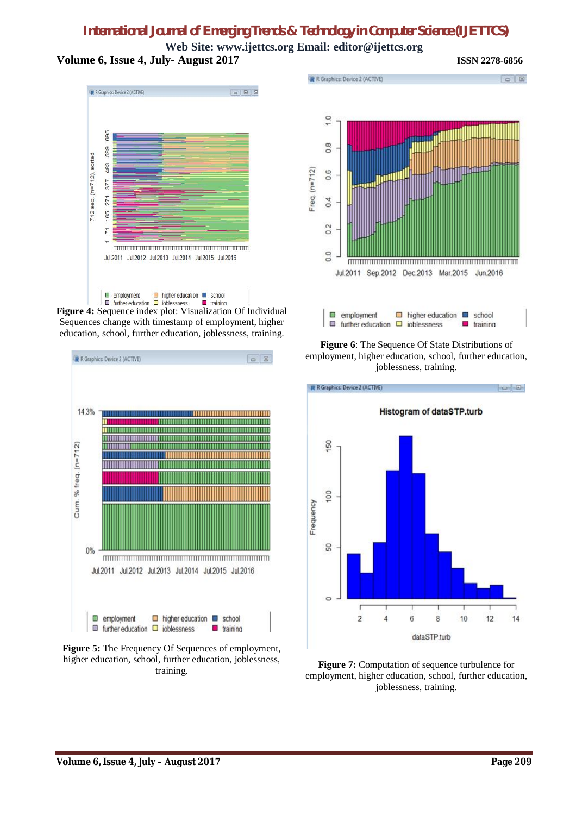**Web Site: www.ijettcs.org Email: editor@ijettcs.org Volume 6, Issue 4, July- August 2017 ISSN 2278-6856**

R R Graphics: Device 2 (ACTIVE)  $\begin{array}{|c|c|c|c|c|}\hline \rule{0pt}{1ex} & \rule{0pt}{1ex} \rule{0pt}{1ex} \rule{0pt}{1ex} \rule{0pt}{1ex} \rule{0pt}{1ex} \rule{0pt}{1ex} \rule{0pt}{1ex} \rule{0pt}{1ex} \rule{0pt}{1ex} \rule{0pt}{1ex} \rule{0pt}{1ex} \rule{0pt}{1ex} \rule{0pt}{1ex} \rule{0pt}{1ex} \rule{0pt}{1ex} \rule{0pt}{1ex} \rule{0pt}{1ex} \rule{0pt}{1ex} \rule{0pt}{1ex} \rule{0pt}{1ex} \rule{0pt}{1ex} \rule$ 695 589  $712$  seq. (n= $712$ ), sorted 483 377 271 165  $\overline{71}$ Jul.2011 Jul.2012 Jul.2013 Jul.2014 Jul.2015 Jul.2016  $\Box$  higher education  $\Box$  school

**Figure 4:** Sequence index plot: Visualization Of Individual training Sequences change with timestamp of employment, higher education, school, further education, joblessness, training.







**Figure 6**: The Sequence Of State Distributions of employment, higher education, school, further education, joblessness, training.



**Figure 7:** Computation of sequence turbulence for employment, higher education, school, further education, joblessness, training.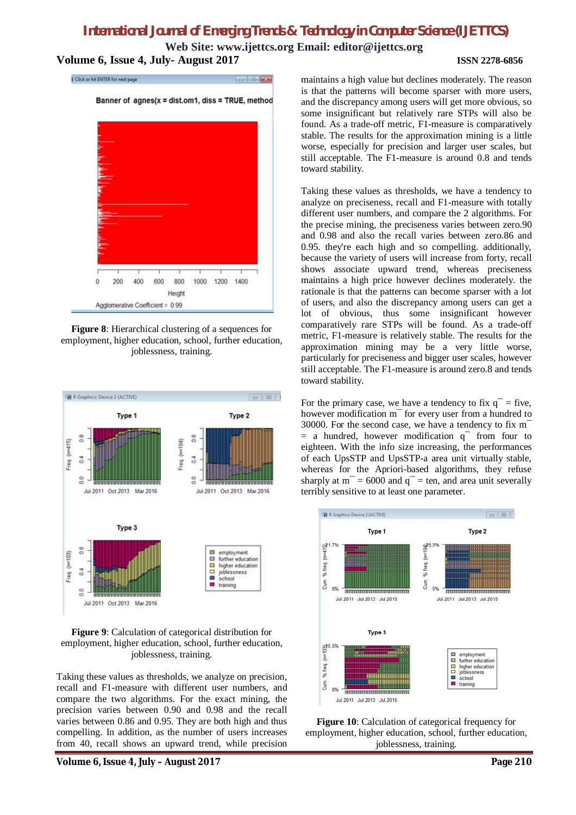**Web Site: www.ijettcs.org Email: editor@ijettcs.org Volume 6, Issue 4, July- August 2017 ISSN 2278-6856**



**Figure 8**: Hierarchical clustering of a sequences for employment, higher education, school, further education, joblessness, training.



**Figure 9**: Calculation of categorical distribution for employment, higher education, school, further education, joblessness, training.

Taking these values as thresholds, we analyze on precision, recall and F1-measure with different user numbers, and compare the two algorithms. For the exact mining, the precision varies between 0.90 and 0.98 and the recall varies between 0.86 and 0.95. They are both high and thus compelling. In addition, as the number of users increases from 40, recall shows an upward trend, while precision

maintains a high value but declines moderately. The reason is that the patterns will become sparser with more users, and the discrepancy among users will get more obvious, so some insignificant but relatively rare STPs will also be found. As a trade-off metric, F1-measure is comparatively stable. The results for the approximation mining is a little worse, especially for precision and larger user scales, but still acceptable. The F1-measure is around 0.8 and tends toward stability.

Taking these values as thresholds, we have a tendency to analyze on preciseness, recall and F1-measure with totally different user numbers, and compare the 2 algorithms. For the precise mining, the preciseness varies between zero.90 and 0.98 and also the recall varies between zero.86 and 0.95. they're each high and so compelling. additionally, because the variety of users will increase from forty, recall shows associate upward trend, whereas preciseness maintains a high price however declines moderately. the rationale is that the patterns can become sparser with a lot of users, and also the discrepancy among users can get a lot of obvious, thus some insignificant however comparatively rare STPs will be found. As a trade-off metric, F1-measure is relatively stable. The results for the approximation mining may be a very little worse, particularly for preciseness and bigger user scales, however still acceptable. The F1-measure is around zero.8 and tends toward stability.

For the primary case, we have a tendency to fix  $q^-$  = five, however modification m<sup>-</sup> for every user from a hundred to 30000. For the second case, we have a tendency to fix m¯  $=$  a hundred, however modification  $q^-$  from four to eighteen. With the info size increasing, the performances of each UpsSTP and UpsSTP-a area unit virtually stable, whereas for the Apriori-based algorithms, they refuse sharply at  $m<sup>-</sup> = 6000$  and  $q<sup>-</sup> = ten$ , and area unit severally terribly sensitive to at least one parameter.



**Figure 10**: Calculation of categorical frequency for employment, higher education, school, further education, joblessness, training.

**Volume 6, Issue 4, July – August 2017 Page 210**